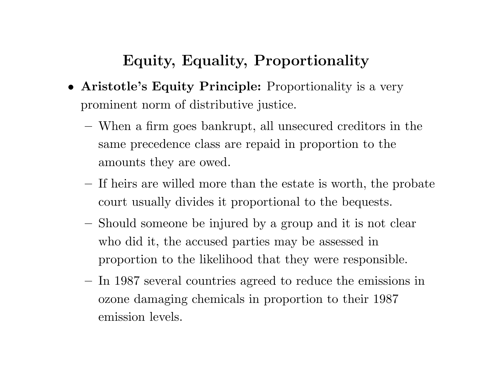## **Equity, Equality, Proportionality**

- **Aristotle's Equity Principle:** Proportionality is <sup>a</sup> very prominent norm of distributive justice.
	- **–** When <sup>a</sup> firm goes bankrupt, all unsecured creditors in the same precedence class are repaid in proportion to the amounts they are owed.
	- **–** If heirs are willed more than the estate is worth, the probate court usually divides it proportional to the bequests.
	- Should someone be injured by <sup>a</sup> group and it is not clear who did it, the accused parties may be assessed in proportion to the likelihood that they were responsible.
	- In 1987 several countries agreed to reduce the emissions in ozone damaging chemicals in proportion to their 1987 emission levels.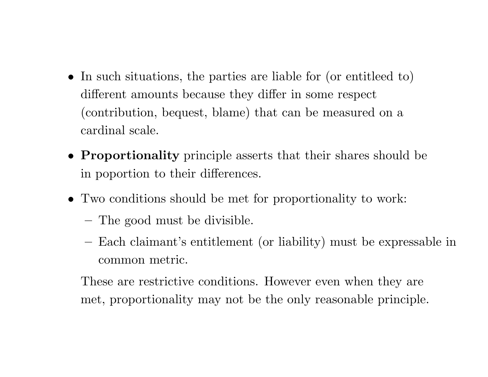- In such situations, the parties are liable for (or entitleed to) different amounts because they differ in some respect (contribution, bequest, blame) that can be measured on <sup>a</sup> cardinal scale.
- **Proportionality** principle asserts that their shares should be in poportion to their differences.
- Two conditions should be met for proportionality to work:
	- **–**The good must be divisible.
	- Each claimant's entitlement (or liability) must be expressable in common metric.

These are restrictive conditions. However even when they are met, proportionality may not be the only reasonable principle.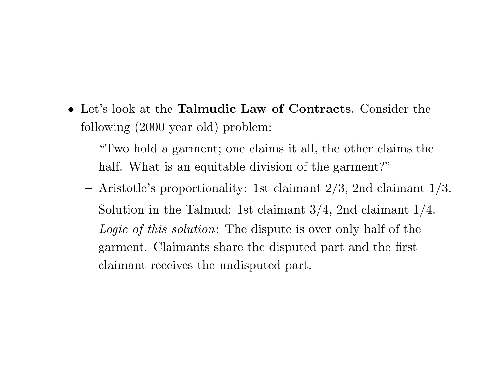• Let's look at the **Talmudic Law of Contracts**. Consider the following (2000 year old) problem:

"Two hold <sup>a</sup> garment; one claims it all, the other claims the half. What is an equitable division of the garment?"

- $-$  Aristotle's proportionality: 1st claimant  $2/3$ , 2nd claimant  $1/3$ .
- **–** $-$  Solution in the Talmud: 1st claimant 3/4, 2nd claimant 1/4. *Logic of this solution*: The dispute is over only half of the garment. Claimants share the disputed part and the first claimant receives the undisputed part.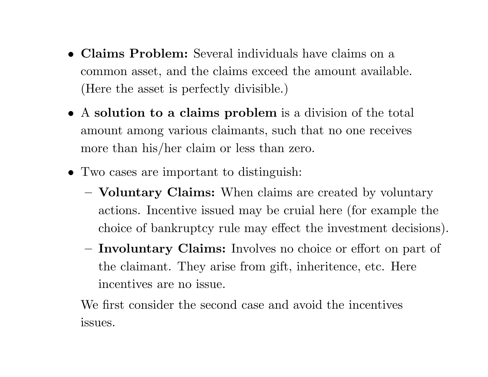- **Claims Problem:** Several individuals have claims on <sup>a</sup> common asset, and the claims exceed the amount available. (Here the asset is perfectly divisible.)
- A **solution to <sup>a</sup> claims problem** is <sup>a</sup> division of the total amount among various claimants, such that no one receives more than his/her claim or less than zero.
- Two cases are important to distinguish:
	- **– Voluntary Claims:** When claims are created by voluntary actions. Incentive issued may be cruial here (for example the choice of bankruptcy rule may effect the investment decisions).
	- **Involuntary Claims:** Involves no choice or effort on part of the claimant. They arise from gift, inheritence, etc. Here incentives are no issue.

We first consider the second case and avoid the incentives issues.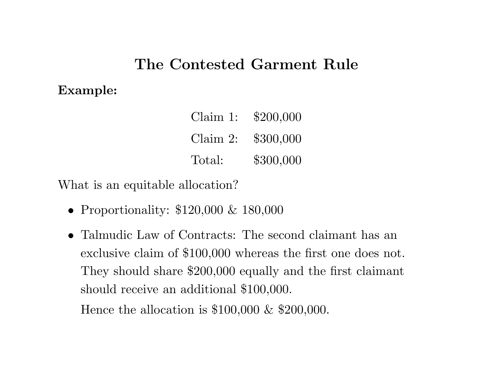### **The Contested Garment Rule**

#### **Example:**

| Claim 1:    | \$200,000 |
|-------------|-----------|
| Claim $2$ : | \$300,000 |
| Total:      | \$300,000 |

What is an equitable allocation?

- Proportionality: \$120,000 & 180,000
- Talmudic Law of Contracts: The second claimant has an exclusive claim of \$100,000 whereas the first one does not. They should share \$200,000 equally and the first claimant should receive an additional \$100,000.

Hence the allocation is \$100,000 & \$200,000.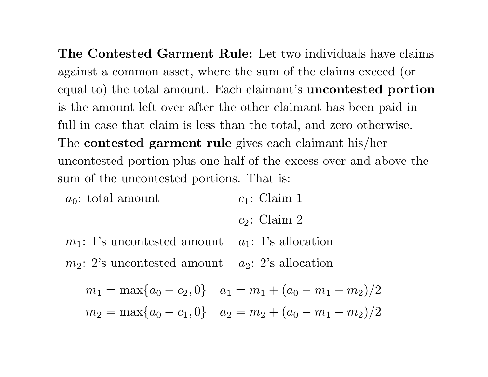**The Contested Garment Rule:** Let two individuals have claims against <sup>a</sup> common asset, where the sum of the claims exceed (or equa<sup>l</sup> to) the total amount. Each claimant's **uncontested portion** is the amount left over after the other claimant has been paid in full in case that claim is less than the total, and zero otherwise. The **contested garment rule** <sup>g</sup>ives each claimant his/her uncontested portion plus one-half of the excess over and above the sum of the uncontested portions. That is:

*a* <sup>0</sup>: total amount *c* <sup>1</sup>: Claim 1

*c* <sup>2</sup>: Claim 2

*m* <sup>1</sup>: 1's uncontested amount *a* <sup>1</sup>: 1's allocation *m* <sup>2</sup>: 2's uncontested amount *a* <sup>2</sup>: 2's allocation

$$
m_1 = \max\{a_0 - c_2, 0\} \quad a_1 = m_1 + (a_0 - m_1 - m_2)/2
$$
  

$$
m_2 = \max\{a_0 - c_1, 0\} \quad a_2 = m_2 + (a_0 - m_1 - m_2)/2
$$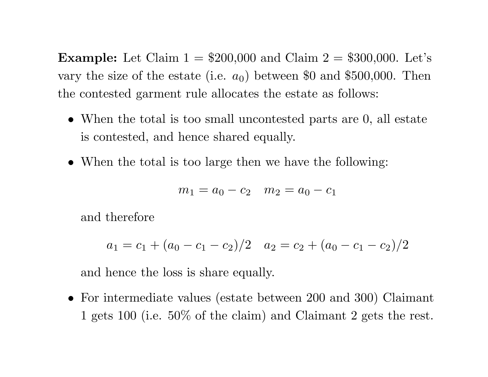**Example:** Let Claim  $1 = $200,000$  and Claim  $2 = $300,000$ . Let's vary the size of the estate (i.e.  $a_0$ ) between \$0 and \$500,000. Then the contested garment rule allocates the estate as follows:

- When the total is too small uncontested parts are 0, all estate is contested, and hence shared equally.
- When the total is too large then we have the following:

$$
m_1 = a_0 - c_2 \quad m_2 = a_0 - c_1
$$

and therefore

$$
a_1 = c_1 + (a_0 - c_1 - c_2)/2 \quad a_2 = c_2 + (a_0 - c_1 - c_2)/2
$$

and hence the loss is share equally.

• For intermediate values (estate between <sup>200</sup> and 300) Claimant <sup>1</sup> gets <sup>100</sup> (i.e. 50% of the claim) and Claimant <sup>2</sup> gets the rest.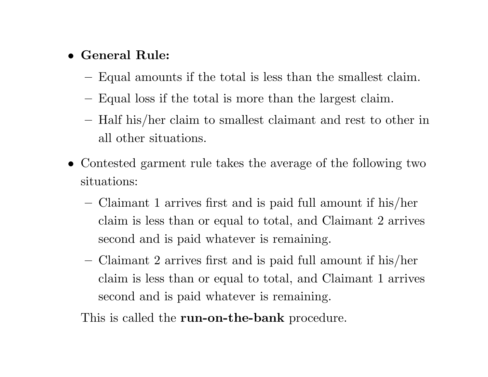#### • **General Rule:**

- Equal amounts if the total is less than the smallest claim.
- **–**Equal loss if the total is more than the largest claim.
- **–** Half his/her claim to smallest claimant and rest to other in all other situations.
- Contested garment rule takes the average of the following two situations:
	- **–** Claimant <sup>1</sup> arrives first and is paid full amount if his/her claim is less than or equal to total, and Claimant 2 arrives second and is paid whatever is remaining.
	- **–** Claimant <sup>2</sup> arrives first and is paid full amount if his/her claim is less than or equal to total, and Claimant 1 arrives second and is paid whatever is remaining.

This is called the **run-on-the-bank** procedure.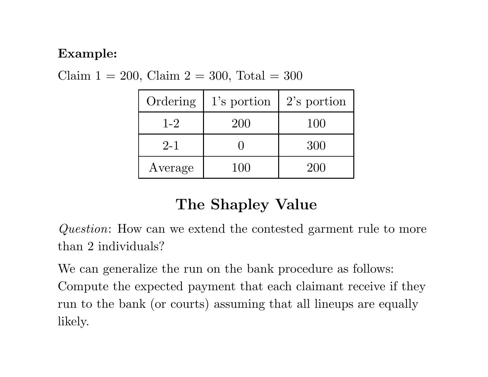#### **Example:**

| Ordering | 1's portion | $2$ 's portion |
|----------|-------------|----------------|
| $1 - 2$  | 200         | 100            |
| $2 - 1$  |             | 300            |
| Average  | 100         | 200            |

Claim  $1 = 200$ , Claim  $2 = 300$ , Total  $= 300$ 

# **The Shapley Value**

*Question*: How can we extend the contested garment rule to more than 2 individuals?

We can generalize the run on the bank procedure as follows: Compute the expected payment that each claimant receive if they run to the bank (or courts) assuming that all lineups are equally likely.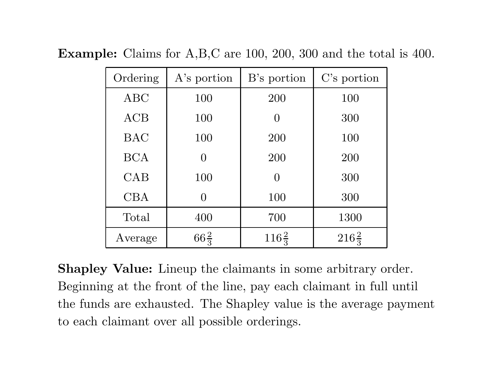| Ordering   | A's portion     | B's portion      | C's portion      |
|------------|-----------------|------------------|------------------|
| <b>ABC</b> | 100             | 200              | 100              |
| ACB        | 100             | $\Omega$         | 300              |
| <b>BAC</b> | 100             | 200              | 100              |
| <b>BCA</b> | $\Omega$        | 200              | 200              |
| CAB        | 100             | $\Omega$         | 300              |
| <b>CBA</b> | $\Omega$        | 100              | 300              |
| Total      | 400             | 700              | 1300             |
| Average    | $66\frac{2}{3}$ | $116\frac{2}{3}$ | $216\frac{2}{3}$ |

**Example:** Claims for A,B,C are 100, 200, 300 and the total is 400.

**Shapley Value:** Lineup the claimants in some arbitrary order. Beginning at the front of the line, pay each claimant in full until the funds are exhausted. The Shapley value is the average payment to each claimant over all possible orderings.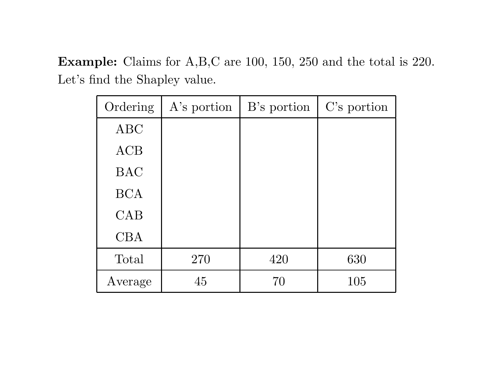**Example:** Claims for A,B,C are 100, 150, 250 and the total is 220. Let's find the Shapley value.

| Ordering   | A's portion | B's portion | C's portion |
|------------|-------------|-------------|-------------|
| <b>ABC</b> |             |             |             |
| ACB        |             |             |             |
| <b>BAC</b> |             |             |             |
| <b>BCA</b> |             |             |             |
| CAB        |             |             |             |
| <b>CBA</b> |             |             |             |
| Total      | 270         | 420         | 630         |
| Average    | 45          | 70          | 105         |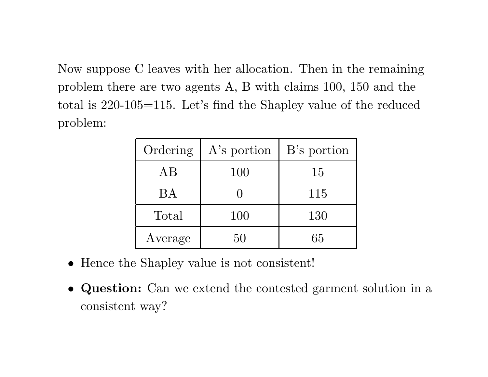Now suppose C leaves with her allocation. Then in the remaining problem there are two agents A, B with claims 100, 150 and the total is 220-105=115. Let's find the Shapley value of the reduced problem:

| Ordering  | A's portion | B's portion |
|-----------|-------------|-------------|
| AB        | 100         | 15          |
| <b>BA</b> |             | 115         |
| Total     | 100         | 130         |
| Average   | 50          | 65          |

- Hence the Shapley value is not consistent!
- **Question:** Can we extend the contested garment solution in <sup>a</sup> consistent way?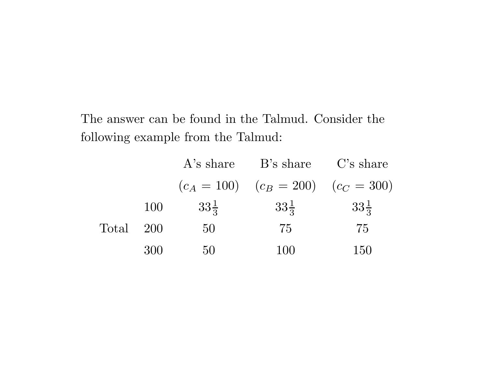The answer can be found in the Talmud. Consider the following example from the Talmud:

|       |            | A's share       | B's share C's share                       |                 |
|-------|------------|-----------------|-------------------------------------------|-----------------|
|       |            |                 | $(c_A = 100)$ $(c_B = 200)$ $(c_C = 300)$ |                 |
|       | <b>100</b> | $33\frac{1}{3}$ | $33\frac{1}{3}$                           | $33\frac{1}{3}$ |
| Total | 200        | 50              | 75                                        | 75              |
|       | 300        | 50              | 100                                       | 150             |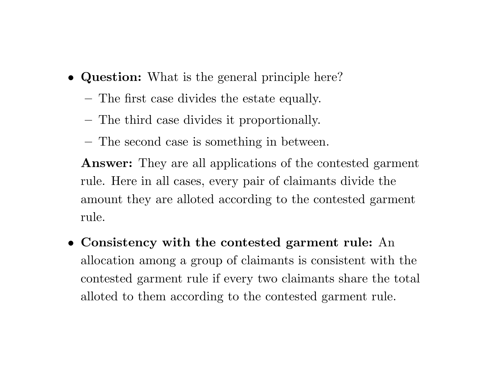- **Question:** What is the general principle here?
	- **–**The first case divides the estate equally.
	- **–**The third case divides it proportionally.
	- The second case is something in between.

**Answer:** They are all applications of the contested garment rule. Here in all cases, every pair of claimants divide the amount they are alloted according to the contested garment rule.

• **Consistency with the contested garment rule:** An allocation among <sup>a</sup> group of claimants is consistent with the contested garment rule if every two claimants share the total alloted to them according to the contested garment rule.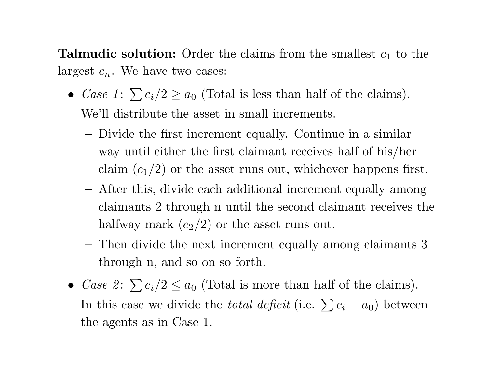**Talmudic solution:** Order the claims from the smallest  $c_1$  to the largest  $c_n$ . We have two cases:

- *Case*  $1: \sum c_i/2 \ge a_0$  (Total is less than half of the claims). We'll distribute the asset in small increments.
	- **–** Divide the first increment equally. Continue in <sup>a</sup> similar way until either the first claimant receives half of his/her claim  $(c_1/2)$  or the asset runs out, whichever happens first.
	- **–** After this, divide each additional increment equally among claimants 2 through <sup>n</sup> until the second claimant receives the halfway mark  $(c_2/2)$  or the asset runs out.
	- **–** Then divide the next increment equally among claimants 3 through n, and so on so forth.
- *Case* 2:  $\sum c_i/2 \le a_0$  (Total is more than half of the claims). In this case we divide the *total deficit* (i.e.  $\sum c_i - a_0$ ) between the agents as in Case 1.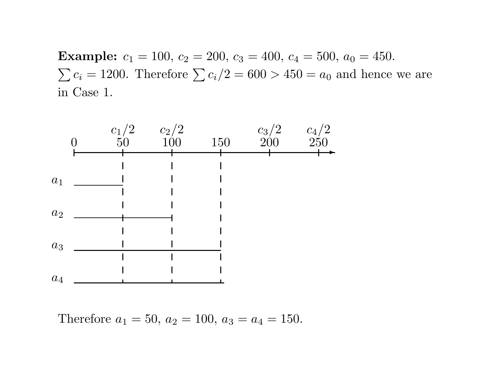**Example:**  $c_1 = 100$ ,  $c_2 = 200$ ,  $c_3 = 400$ ,  $c_4 = 500$ ,  $a_0 = 450$ .  $\sum c_i = 1200$ . Therefore  $\sum c_i/2 = 600 > 450 = a_0$  and hence we are in Case 1.



Therefore  $a_1 = 50$ ,  $a_2 = 100$ ,  $a_3 = a_4 = 150$ .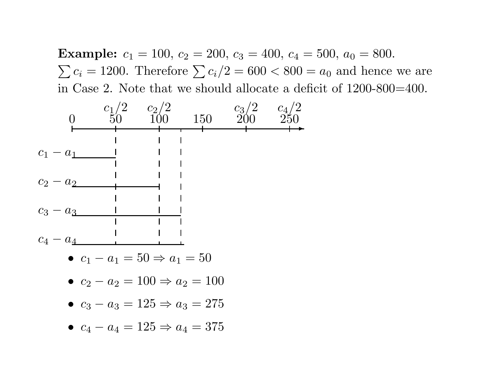**Example:**  $c_1 = 100$ ,  $c_2 = 200$ ,  $c_3 = 400$ ,  $c_4 = 500$ ,  $a_0 = 800$ .  $\sum c_i = 1200$ . Therefore  $\sum c_i/2 = 600 < 800 = a_0$  and hence we are in Case 2. Note that we should allocate <sup>a</sup> deficit of 1200-800=400.

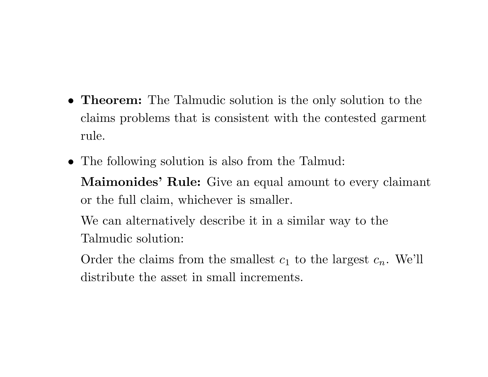- **Theorem:** The Talmudic solution is the only solution to the claims problems that is consistent with the contested garment rule.
- The following solution is also from the Talmud: **Maimonides' Rule:** Give an equal amount to every claimant or the full claim, whichever is smaller.

We can alternatively describe it in <sup>a</sup> similar way to the Talmudic solution:

Order the claims from the smallest  $c_1$  to the largest  $c_n$ . We'll distribute the asset in small increments.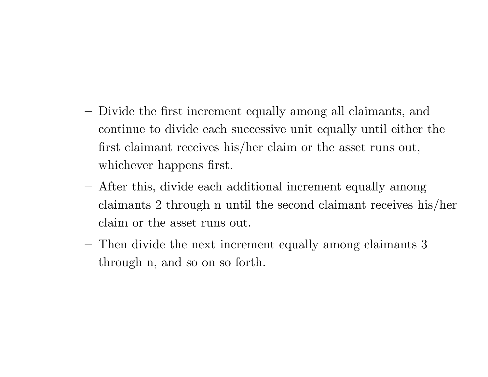- Divide the first increment equally among all claimants, and continue to divide each successive unit equally until either the first claimant receives his/her claim or the asset runs out, whichever happens first.
- **–** After this, divide each additional increment equally among claimants <sup>2</sup> through <sup>n</sup> until the second claimant receives his/her claim or the asset runs out.
- **–** Then divide the next increment equally among claimants 3 through n, and so on so forth.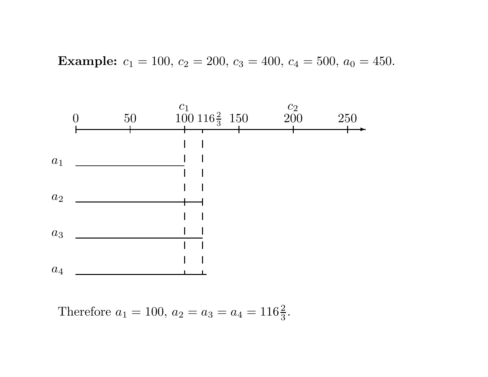**Example:** 
$$
c_1 = 100
$$
,  $c_2 = 200$ ,  $c_3 = 400$ ,  $c_4 = 500$ ,  $a_0 = 450$ .



Therefore 
$$
a_1 = 100
$$
,  $a_2 = a_3 = a_4 = 116\frac{2}{3}$ .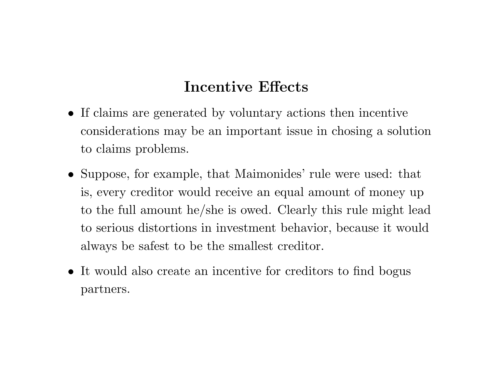### **Incentive Effects**

- If claims are generated by voluntary actions then incentive considerations may be an important issue in chosing <sup>a</sup> solution to claims problems.
- Suppose, for example, that Maimonides' rule were used: that is, every creditor would receive an equal amount of money up to the full amount he/she is owed. Clearly this rule might lead to serious distortions in investment behavior, because it would always be safest to be the smallest creditor.
- It would also create an incentive for creditors to find bogus partners.